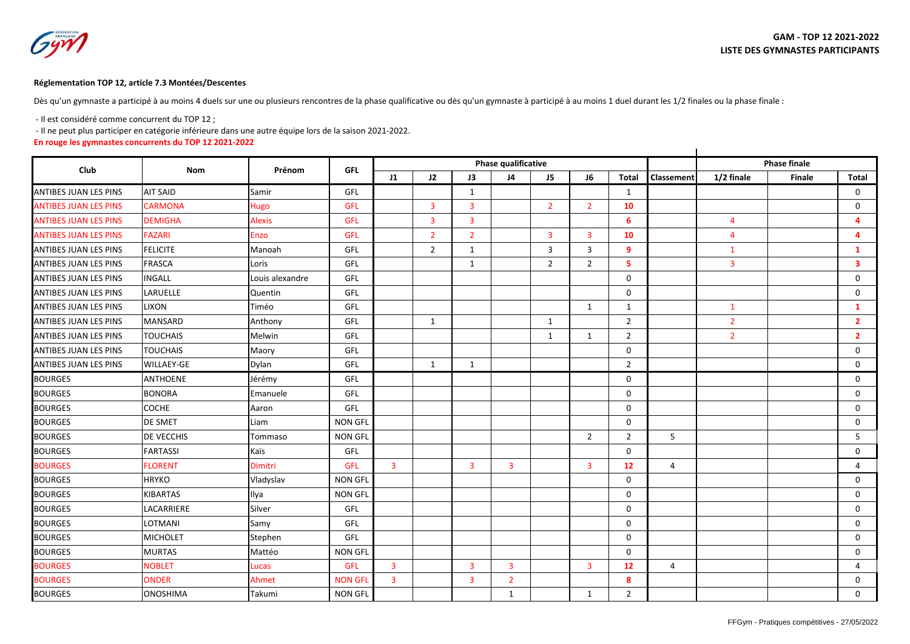## **Réglementation TOP 12, article 7.3 Montées/Descentes**

Dès qu'un gymnaste a participé à au moins 4 duels sur une ou plusieurs rencontres de la phase qualificative ou dès qu'un gymnaste à participé à au moins 1 duel durant les 1/2 finales ou la phase finale :

- Il est considéré comme concurrent du TOP 12 ;

- Il ne peut plus participer en catégorie inférieure dans une autre équipe lors de la saison 2021-2022.

**En rouge les gymnastes concurrents du TOP 12 2021-2022**

|                              |                   |                 |                |                |                |                         | Phase qualificative | <b>Phase finale</b> |                |                |                |                |        |                |
|------------------------------|-------------------|-----------------|----------------|----------------|----------------|-------------------------|---------------------|---------------------|----------------|----------------|----------------|----------------|--------|----------------|
| Club                         | <b>Nom</b>        | Prénom          | <b>GFL</b>     | J1             | J2             | J3                      | J4                  | J5                  | J6             | <b>Total</b>   | Classement     | 1/2 finale     | Finale | <b>Total</b>   |
| <b>ANTIBES JUAN LES PINS</b> | <b>AIT SAID</b>   | Samir           | GFL            |                |                | $\mathbf{1}$            |                     |                     |                | $\mathbf{1}$   |                |                |        | $\mathbf{0}$   |
| <b>ANTIBES JUAN LES PINS</b> | <b>CARMONA</b>    | Hugo            | <b>GFL</b>     |                | 3              | 3                       |                     | $\overline{2}$      | $\overline{2}$ | 10             |                |                |        | 0              |
| <b>ANTIBES JUAN LES PINS</b> | <b>DEMIGHA</b>    | <b>Alexis</b>   | <b>GFL</b>     |                | $\overline{3}$ | $\overline{3}$          |                     |                     |                | 6              |                | $\overline{4}$ |        | 4              |
| <b>ANTIBES JUAN LES PINS</b> | <b>FAZARI</b>     | <b>Enzo</b>     | <b>GFL</b>     |                | $\overline{2}$ | $\overline{2}$          |                     | $\overline{3}$      | $\overline{3}$ | 10             |                | $\overline{4}$ |        | 4              |
| <b>ANTIBES JUAN LES PINS</b> | <b>FELICITE</b>   | Manoah          | GFL            |                | 2              | 1                       |                     | 3                   | 3              | 9              |                | 1              |        | $\mathbf{1}$   |
| <b>ANTIBES JUAN LES PINS</b> | <b>FRASCA</b>     | Loris           | GFL            |                |                | $\mathbf{1}$            |                     | $\overline{2}$      | $\overline{2}$ | 5              |                | 3              |        | 3              |
| <b>ANTIBES JUAN LES PINS</b> | <b>INGALL</b>     | Louis alexandre | GFL            |                |                |                         |                     |                     |                | $\Omega$       |                |                |        | $\mathbf 0$    |
| <b>ANTIBES JUAN LES PINS</b> | LARUELLE          | Quentin         | GFL            |                |                |                         |                     |                     |                | $\mathbf 0$    |                |                |        | $\mathbf 0$    |
| <b>ANTIBES JUAN LES PINS</b> | <b>LIXON</b>      | Timéo           | GFL            |                |                |                         |                     |                     | $\mathbf{1}$   | 1              |                | $\mathbf{1}$   |        | $\mathbf{1}$   |
| <b>ANTIBES JUAN LES PINS</b> | <b>MANSARD</b>    | Anthony         | GFL            |                | $\mathbf{1}$   |                         |                     | $\mathbf{1}$        |                | $\overline{2}$ |                | $\overline{2}$ |        | $\mathbf{2}$   |
| <b>ANTIBES JUAN LES PINS</b> | <b>TOUCHAIS</b>   | Melwin          | GFL            |                |                |                         |                     | 1                   | 1              | $\overline{2}$ |                | $\overline{2}$ |        | $\overline{2}$ |
| <b>ANTIBES JUAN LES PINS</b> | <b>TOUCHAIS</b>   | Maory           | GFL            |                |                |                         |                     |                     |                | $\Omega$       |                |                |        | $\mathbf 0$    |
| <b>ANTIBES JUAN LES PINS</b> | <b>WILLAEY-GE</b> | Dylan           | GFL            |                | 1              | $\mathbf{1}$            |                     |                     |                | $\overline{2}$ |                |                |        | $\Omega$       |
| <b>BOURGES</b>               | <b>ANTHOENE</b>   | Jérémy          | GFL            |                |                |                         |                     |                     |                | $\mathbf 0$    |                |                |        | $\mathbf 0$    |
| <b>BOURGES</b>               | <b>BONORA</b>     | Emanuele        | GFL            |                |                |                         |                     |                     |                | $\mathbf 0$    |                |                |        | 0              |
| <b>BOURGES</b>               | COCHE             | Aaron           | GFL            |                |                |                         |                     |                     |                | $\mathbf 0$    |                |                |        | $\mathbf 0$    |
| <b>BOURGES</b>               | <b>DE SMET</b>    | Liam            | <b>NON GFL</b> |                |                |                         |                     |                     |                | $\mathbf 0$    |                |                |        | $\mathbf 0$    |
| <b>BOURGES</b>               | <b>DE VECCHIS</b> | Tommaso         | <b>NON GFL</b> |                |                |                         |                     |                     | $\overline{2}$ | $\overline{2}$ | 5              |                |        | 5              |
| <b>BOURGES</b>               | <b>FARTASSI</b>   | Kaïs            | GFL            |                |                |                         |                     |                     |                | $\mathbf 0$    |                |                |        | 0              |
| <b>BOURGES</b>               | <b>FLORENT</b>    | <b>Dimitri</b>  | <b>GFL</b>     | $\overline{3}$ |                | $\overline{3}$          | $\overline{3}$      |                     | $\overline{3}$ | 12             | $\overline{4}$ |                |        | $\overline{4}$ |
| <b>BOURGES</b>               | <b>HRYKO</b>      | Vladyslav       | <b>NON GFL</b> |                |                |                         |                     |                     |                | $\mathbf 0$    |                |                |        | $\Omega$       |
| <b>BOURGES</b>               | KIBARTAS          | Ilya            | <b>NON GFL</b> |                |                |                         |                     |                     |                | 0              |                |                |        | $\mathbf 0$    |
| <b>BOURGES</b>               | LACARRIERE        | Silver          | GFL            |                |                |                         |                     |                     |                | $\mathbf 0$    |                |                |        | 0              |
| <b>BOURGES</b>               | <b>LOTMANI</b>    | Samy            | GFL            |                |                |                         |                     |                     |                | $\mathbf 0$    |                |                |        | $\Omega$       |
| <b>BOURGES</b>               | <b>MICHOLET</b>   | Stephen         | GFL            |                |                |                         |                     |                     |                | $\mathbf 0$    |                |                |        | $\mathbf 0$    |
| <b>BOURGES</b>               | <b>MURTAS</b>     | Mattéo          | <b>NON GFL</b> |                |                |                         |                     |                     |                | $\mathbf 0$    |                |                |        | 0              |
| <b>BOURGES</b>               | <b>NOBLET</b>     | Lucas           | <b>GFL</b>     | $\overline{3}$ |                | $\overline{\mathbf{3}}$ | $\overline{3}$      |                     | $\overline{3}$ | 12             | $\overline{4}$ |                |        | 4              |
| <b>BOURGES</b>               | <b>ONDER</b>      | Ahmet           | <b>NON GFL</b> | 3              |                | 3                       | $\overline{2}$      |                     |                | 8              |                |                |        | 0              |
| <b>BOURGES</b>               | <b>ONOSHIMA</b>   | Takumi          | <b>NON GFL</b> |                |                |                         | $\mathbf{1}$        |                     | $\mathbf{1}$   | $\overline{2}$ |                |                |        | $\mathbf 0$    |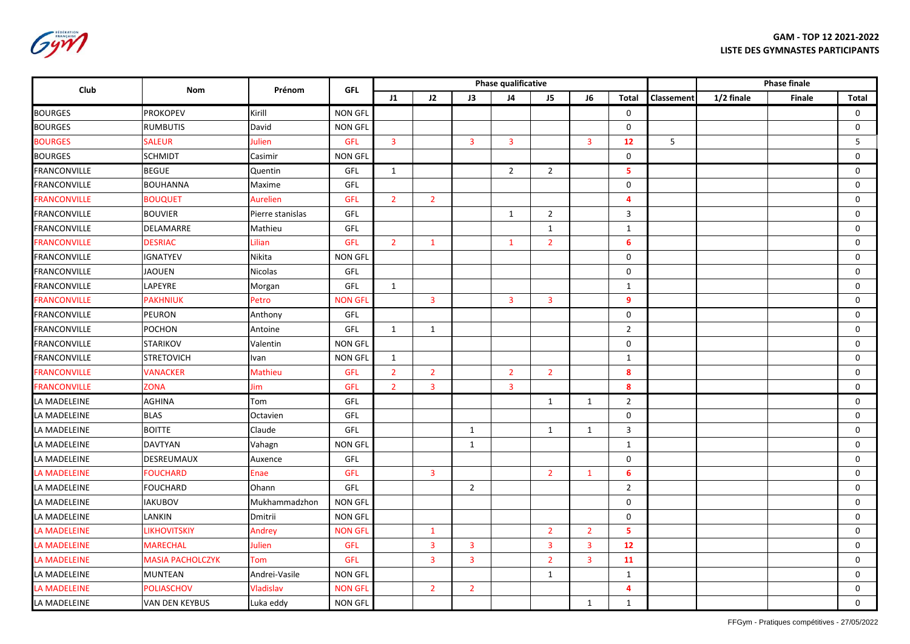Gym

| <b>Club</b>         | <b>Nom</b>              | Prénom           | <b>GFL</b>     |                |                |                | Phase qualificative     |                |                |                         | <b>Phase finale</b> |            |               |             |
|---------------------|-------------------------|------------------|----------------|----------------|----------------|----------------|-------------------------|----------------|----------------|-------------------------|---------------------|------------|---------------|-------------|
|                     |                         |                  |                | J1             | J2             | J3             | J <sub>4</sub>          | J <sub>5</sub> | J6             | <b>Total</b>            | Classement          | 1/2 finale | <b>Finale</b> | Total       |
| <b>BOURGES</b>      | <b>PROKOPEV</b>         | Kirill           | NON GFL        |                |                |                |                         |                |                | $\mathbf 0$             |                     |            |               | $\mathbf 0$ |
| <b>BOURGES</b>      | <b>RUMBUTIS</b>         | David            | <b>NON GFL</b> |                |                |                |                         |                |                | $\mathbf 0$             |                     |            |               | 0           |
| <b>BOURGES</b>      | <b>SALEUR</b>           | Julien           | <b>GFL</b>     | $\overline{3}$ |                | $\overline{3}$ | $\overline{3}$          |                | $\overline{3}$ | 12                      | 5                   |            |               | 5           |
| <b>BOURGES</b>      | <b>SCHMIDT</b>          | Casimir          | <b>NON GFL</b> |                |                |                |                         |                |                | $\Omega$                |                     |            |               | $\mathbf 0$ |
| <b>FRANCONVILLE</b> | <b>BEGUE</b>            | Quentin          | GFL            | $\mathbf{1}$   |                |                | $\overline{2}$          | $\overline{2}$ |                | 5                       |                     |            |               | $\mathbf 0$ |
| <b>FRANCONVILLE</b> | <b>BOUHANNA</b>         | Maxime           | GFL            |                |                |                |                         |                |                | $\mathsf{O}$            |                     |            |               | 0           |
| <b>FRANCONVILLE</b> | <b>BOUQUET</b>          | Aurelien         | <b>GFL</b>     | 2 <sup>1</sup> | $\overline{2}$ |                |                         |                |                | 4                       |                     |            |               | $\mathsf 0$ |
| <b>FRANCONVILLE</b> | <b>BOUVIER</b>          | Pierre stanislas | GFL            |                |                |                | $\mathbf{1}$            | $\overline{2}$ |                | 3                       |                     |            |               | $\mathbf 0$ |
| <b>FRANCONVILLE</b> | DELAMARRE               | Mathieu          | GFL            |                |                |                |                         | $\mathbf{1}$   |                | $\mathbf{1}$            |                     |            |               | 0           |
| <b>FRANCONVILLE</b> | <b>DESRIAC</b>          | Lilian           | <b>GFL</b>     | 2 <sup>1</sup> | $\mathbf{1}$   |                | $\mathbf{1}$            | $\overline{2}$ |                | 6                       |                     |            |               | 0           |
| FRANCONVILLE        | <b>IGNATYEV</b>         | Nikita           | <b>NON GFL</b> |                |                |                |                         |                |                | $\mathbf 0$             |                     |            |               | $\mathbf 0$ |
| FRANCONVILLE        | <b>JAOUEN</b>           | Nicolas          | GFL            |                |                |                |                         |                |                | $\mathbf 0$             |                     |            |               | $\mathbf 0$ |
| <b>FRANCONVILLE</b> | LAPEYRE                 | Morgan           | GFL            | $\mathbf{1}$   |                |                |                         |                |                | $\mathbf{1}$            |                     |            |               | 0           |
| <b>FRANCONVILLE</b> | <b>PAKHNIUK</b>         | Petro            | <b>NON GFL</b> |                | $\overline{3}$ |                | $\overline{3}$          | $\mathbf{3}$   |                | 9                       |                     |            |               | 0           |
| FRANCONVILLE        | <b>PEURON</b>           | Anthony          | GFL            |                |                |                |                         |                |                | $\mathbf 0$             |                     |            |               | $\mathsf 0$ |
| FRANCONVILLE        | <b>POCHON</b>           | Antoine          | GFL            | $\mathbf{1}$   | 1              |                |                         |                |                | $\overline{2}$          |                     |            |               | $\mathbf 0$ |
| <b>FRANCONVILLE</b> | <b>STARIKOV</b>         | Valentin         | <b>NON GFL</b> |                |                |                |                         |                |                | 0                       |                     |            |               | 0           |
| <b>FRANCONVILLE</b> | <b>STRETOVICH</b>       | Ivan             | <b>NON GFL</b> | $\mathbf{1}$   |                |                |                         |                |                | $\mathbf{1}$            |                     |            |               | 0           |
| <b>FRANCONVILLE</b> | <b>VANACKER</b>         | Mathieu          | <b>GFL</b>     | $\overline{2}$ | $\overline{2}$ |                | $\overline{2}$          | $\overline{2}$ |                | 8                       |                     |            |               | 0           |
| <b>FRANCONVILLE</b> | <b>ZONA</b>             | Jim              | <b>GFL</b>     | 2 <sup>1</sup> | $\overline{3}$ |                | $\overline{\mathbf{3}}$ |                |                | 8                       |                     |            |               | $\mathbf 0$ |
| LA MADELEINE        | <b>AGHINA</b>           | Tom              | GFL            |                |                |                |                         | $\mathbf{1}$   | $\mathbf{1}$   | $\overline{2}$          |                     |            |               | 0           |
| LA MADELEINE        | <b>BLAS</b>             | Octavien         | GFL            |                |                |                |                         |                |                | $\mathbf 0$             |                     |            |               | $\mathsf 0$ |
| LA MADELEINE        | <b>BOITTE</b>           | Claude           | GFL            |                |                | 1              |                         | $\mathbf{1}$   | 1              | 3                       |                     |            |               | $\mathbf 0$ |
| LA MADELEINE        | <b>DAVTYAN</b>          | Vahagn           | <b>NON GFL</b> |                |                | 1              |                         |                |                | 1                       |                     |            |               | $\mathbf 0$ |
| LA MADELEINE        | DESREUMAUX              | Auxence          | GFL            |                |                |                |                         |                |                | $\mathbf 0$             |                     |            |               | 0           |
| <b>LA MADELEINE</b> | <b>FOUCHARD</b>         | Enae             | <b>GFL</b>     |                | 3              |                |                         | $\overline{2}$ | $\mathbf{1}$   | 6                       |                     |            |               | $\mathbf 0$ |
| LA MADELEINE        | <b>FOUCHARD</b>         | Ohann            | GFL            |                |                | $\overline{2}$ |                         |                |                | $\overline{2}$          |                     |            |               | $\mathbf 0$ |
| LA MADELEINE        | <b>IAKUBOV</b>          | Mukhammadzhon    | <b>NON GFL</b> |                |                |                |                         |                |                | $\mathbf 0$             |                     |            |               | $\mathbf 0$ |
| LA MADELEINE        | LANKIN                  | Dmitrii          | <b>NON GFL</b> |                |                |                |                         |                |                | 0                       |                     |            |               | 0           |
| LA MADELEINE        | <b>LIKHOVITSKIY</b>     | Andrey           | <b>NON GFL</b> |                | $\mathbf{1}$   |                |                         | $\overline{2}$ | $\overline{2}$ | 5                       |                     |            |               | $\mathbf 0$ |
| <b>LA MADELEINE</b> | <b>MARECHAL</b>         | Julien           | <b>GFL</b>     |                | $\overline{3}$ | $\overline{3}$ |                         | $\overline{3}$ | $\overline{3}$ | 12                      |                     |            |               | $\mathbf 0$ |
| <b>LA MADELEINE</b> | <b>MASIA PACHOLCZYK</b> | Tom              | <b>GFL</b>     |                | $\overline{3}$ | $\overline{3}$ |                         | $\overline{2}$ | $\overline{3}$ | 11                      |                     |            |               | $\mathbf 0$ |
| LA MADELEINE        | <b>MUNTEAN</b>          | Andrei-Vasile    | <b>NON GFL</b> |                |                |                |                         | $\mathbf{1}$   |                | $\mathbf{1}$            |                     |            |               | 0           |
| LA MADELEINE        | <b>POLIASCHOV</b>       | Vladislav        | <b>NON GFL</b> |                | $\overline{2}$ | $\overline{2}$ |                         |                |                | $\overline{\mathbf{4}}$ |                     |            |               | 0           |
| LA MADELEINE        | VAN DEN KEYBUS          | Luka eddy        | <b>NON GFL</b> |                |                |                |                         |                | $\mathbf{1}$   | $\mathbf{1}$            |                     |            |               | $\mathbf 0$ |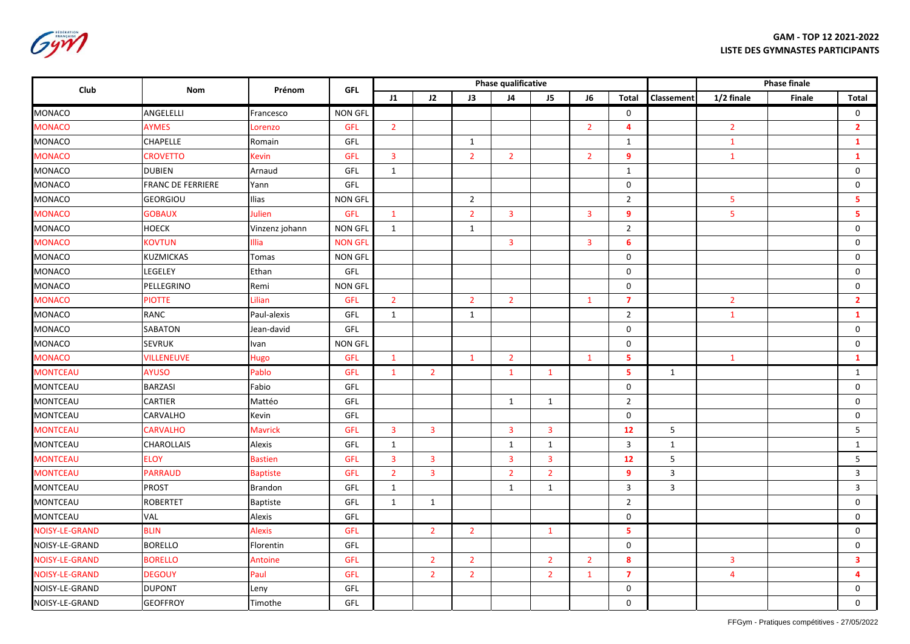Gym

| Club                  | Nom                      | Prénom          | <b>GFL</b>     |                |                         |                | <b>Phase qualificative</b> |                |                |                     | Phase finale      |                |        |                         |
|-----------------------|--------------------------|-----------------|----------------|----------------|-------------------------|----------------|----------------------------|----------------|----------------|---------------------|-------------------|----------------|--------|-------------------------|
|                       |                          |                 |                | J1             | J2                      | J3             | J <sub>4</sub>             | J <sub>5</sub> | J <sub>6</sub> | <b>Total</b>        | <b>Classement</b> | 1/2 finale     | Finale | <b>Total</b>            |
| MONACO                | ANGELELLI                | Francesco       | <b>NON GFL</b> |                |                         |                |                            |                |                | $\mathbf 0$         |                   |                |        | $\mathsf 0$             |
| <b>MONACO</b>         | <b>AYMES</b>             | Lorenzo         | <b>GFL</b>     | 2 <sup>1</sup> |                         |                |                            |                | $\overline{2}$ | 4                   |                   | $\overline{2}$ |        | $\overline{2}$          |
| <b>MONACO</b>         | <b>CHAPELLE</b>          | Romain          | GFL            |                |                         | $\mathbf{1}$   |                            |                |                | $\mathbf{1}$        |                   | $\mathbf{1}$   |        | $\mathbf{1}$            |
| <b>MONACO</b>         | <b>CROVETTO</b>          | Kevin           | GFL            | 3              |                         | $\overline{2}$ | $\overline{2}$             |                | $\overline{2}$ | 9                   |                   | $\mathbf{1}$   |        | $\mathbf{1}$            |
| <b>MONACO</b>         | <b>DUBIEN</b>            | Arnaud          | GFL            | $\mathbf{1}$   |                         |                |                            |                |                | $\mathbf{1}$        |                   |                |        | $\mathsf 0$             |
| <b>MONACO</b>         | <b>FRANC DE FERRIERE</b> | Yann            | GFL            |                |                         |                |                            |                |                | $\mathsf{O}\xspace$ |                   |                |        | $\mathsf 0$             |
| <b>MONACO</b>         | <b>GEORGIOU</b>          | Ilias           | <b>NON GFL</b> |                |                         | $\overline{2}$ |                            |                |                | $\overline{2}$      |                   | 5              |        | 5                       |
| <b>MONACO</b>         | <b>GOBAUX</b>            | <b>Julien</b>   | GFL            | $\mathbf{1}$   |                         | $\overline{2}$ | $\overline{3}$             |                | $\overline{3}$ | 9                   |                   | 5              |        | 5                       |
| <b>MONACO</b>         | <b>HOECK</b>             | Vinzenz johann  | <b>NON GFL</b> | $\mathbf{1}$   |                         | $\mathbf{1}$   |                            |                |                | $\overline{2}$      |                   |                |        | $\mathsf 0$             |
| <b>MONACO</b>         | KOVTUN                   | <b>Illia</b>    | <b>NON GFL</b> |                |                         |                | $\overline{3}$             |                | $\overline{3}$ | $6\phantom{1}$      |                   |                |        | $\mathsf 0$             |
| <b>MONACO</b>         | <b>KUZMICKAS</b>         | Tomas           | <b>NON GFL</b> |                |                         |                |                            |                |                | $\mathbf 0$         |                   |                |        | $\mathsf 0$             |
| MONACO                | LEGELEY                  | Ethan           | GFL            |                |                         |                |                            |                |                | $\mathbf 0$         |                   |                |        | $\mathsf{O}\xspace$     |
| MONACO                | PELLEGRINO               | Remi            | <b>NON GFL</b> |                |                         |                |                            |                |                | $\mathsf{O}$        |                   |                |        | $\mathsf 0$             |
| <b>MONACO</b>         | <b>PIOTTE</b>            | Lilian          | GFL            | $\overline{2}$ |                         | $\overline{2}$ | $\overline{2}$             |                | $\mathbf{1}$   | $\overline{7}$      |                   | $\overline{2}$ |        | $\overline{2}$          |
| <b>MONACO</b>         | RANC                     | Paul-alexis     | GFL            | $\mathbf{1}$   |                         | $\mathbf{1}$   |                            |                |                | $\overline{2}$      |                   | $\mathbf{1}$   |        | $\mathbf{1}$            |
| <b>MONACO</b>         | <b>SABATON</b>           | Jean-david      | GFL            |                |                         |                |                            |                |                | $\mathbf 0$         |                   |                |        | $\mathsf 0$             |
| <b>MONACO</b>         | <b>SEVRUK</b>            | Ivan            | <b>NON GFL</b> |                |                         |                |                            |                |                | $\mathbf 0$         |                   |                |        | $\mathsf 0$             |
| <b>MONACO</b>         | <b>VILLENEUVE</b>        | <b>Hugo</b>     | <b>GFL</b>     | $\mathbf{1}$   |                         | $\mathbf{1}$   | $\overline{2}$             |                | $\mathbf{1}$   | 5                   |                   | $\mathbf{1}$   |        | $\mathbf{1}$            |
| <b>MONTCEAU</b>       | <b>AYUSO</b>             | Pablo           | <b>GFL</b>     | $\mathbf{1}$   | $\overline{2}$          |                | $\mathbf{1}$               | $\mathbf{1}$   |                | 5                   | 1                 |                |        | $\mathbf{1}$            |
| <b>MONTCEAU</b>       | <b>BARZASI</b>           | Fabio           | GFL            |                |                         |                |                            |                |                | $\mathbf 0$         |                   |                |        | $\mathsf 0$             |
| MONTCEAU              | CARTIER                  | Mattéo          | GFL            |                |                         |                | $\mathbf{1}$               | $\mathbf{1}$   |                | $\overline{2}$      |                   |                |        | $\mathsf 0$             |
| <b>MONTCEAU</b>       | <b>CARVALHO</b>          | Kevin           | GFL            |                |                         |                |                            |                |                | $\mathbf 0$         |                   |                |        | $\mathbf 0$             |
| <b>MONTCEAU</b>       | <b>CARVALHO</b>          | <b>Mavrick</b>  | <b>GFL</b>     | 3              | $\overline{\mathbf{3}}$ |                | $\overline{\mathbf{3}}$    | $\mathbf{3}$   |                | 12                  | 5                 |                |        | 5                       |
| <b>MONTCEAU</b>       | <b>CHAROLLAIS</b>        | Alexis          | GFL            | $\mathbf{1}$   |                         |                | $\mathbf{1}$               | $\mathbf{1}$   |                | 3                   | $\mathbf{1}$      |                |        | $\mathbf{1}$            |
| <b>MONTCEAU</b>       | <b>ELOY</b>              | <b>Bastien</b>  | <b>GFL</b>     | 3              | $\overline{3}$          |                | $\overline{3}$             | $\overline{3}$ |                | 12                  | 5                 |                |        | $5\phantom{.0}$         |
| <b>MONTCEAU</b>       | <b>PARRAUD</b>           | <b>Baptiste</b> | <b>GFL</b>     | $\overline{2}$ | $\overline{\mathbf{3}}$ |                | $\overline{2}$             | $\overline{2}$ |                | 9                   | $\mathbf{3}$      |                |        | $\mathbf{3}$            |
| <b>MONTCEAU</b>       | <b>PROST</b>             | <b>Brandon</b>  | GFL            | $\mathbf{1}$   |                         |                | $\mathbf{1}$               | $\mathbf{1}$   |                | $\mathbf{3}$        | $\overline{3}$    |                |        | $\mathbf{3}$            |
| <b>MONTCEAU</b>       | <b>ROBERTET</b>          | <b>Baptiste</b> | GFL            | $\mathbf{1}$   | $\mathbf{1}$            |                |                            |                |                | $\overline{2}$      |                   |                |        | $\mathsf{O}\xspace$     |
| <b>MONTCEAU</b>       | VAL                      | Alexis          | GFL            |                |                         |                |                            |                |                | $\mathbf 0$         |                   |                |        | $\mathbf 0$             |
| <b>NOISY-LE-GRAND</b> | <b>BLIN</b>              | <b>Alexis</b>   | GFL            |                | $\overline{2}$          | $\overline{2}$ |                            | $\mathbf{1}$   |                | 5                   |                   |                |        | $\mathsf{O}\xspace$     |
| NOISY-LE-GRAND        | <b>BORELLO</b>           | Florentin       | GFL            |                |                         |                |                            |                |                | $\mathbf 0$         |                   |                |        | $\mathbf 0$             |
| <b>NOISY-LE-GRAND</b> | <b>BORELLO</b>           | Antoine         | GFL            |                | $\overline{2}$          | $\overline{2}$ |                            | $\overline{2}$ | $\overline{2}$ | 8                   |                   | 3              |        | $\overline{\mathbf{3}}$ |
| <b>NOISY-LE-GRAND</b> | <b>DEGOUY</b>            | Paul            | <b>GFL</b>     |                | $\overline{2}$          | $\overline{2}$ |                            | $\overline{2}$ | $\mathbf{1}$   | $\overline{7}$      |                   | 4              |        | $\overline{4}$          |
| NOISY-LE-GRAND        | <b>DUPONT</b>            | Leny            | GFL            |                |                         |                |                            |                |                | $\mathbf 0$         |                   |                |        | $\mathsf{O}\xspace$     |
| NOISY-LE-GRAND        | <b>GEOFFROY</b>          | Timothe         | GFL            |                |                         |                |                            |                |                | $\mathbf 0$         |                   |                |        | $\mathbf 0$             |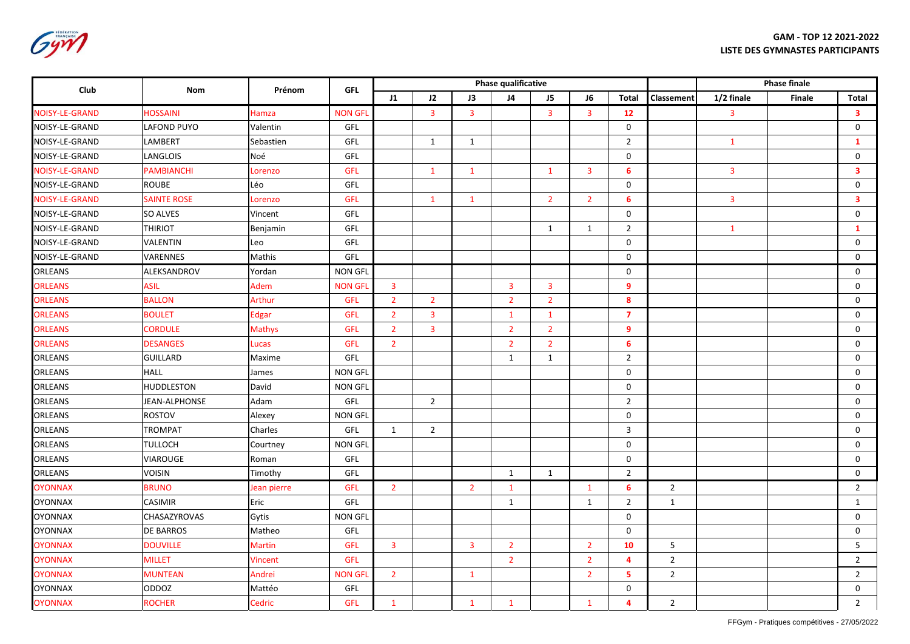Gym

| Club                  | Nom                | Prénom         | <b>GFL</b>     |                |                         |                         | Phase qualificative     |                |                |                | <b>Phase finale</b> |              |        |                         |
|-----------------------|--------------------|----------------|----------------|----------------|-------------------------|-------------------------|-------------------------|----------------|----------------|----------------|---------------------|--------------|--------|-------------------------|
|                       |                    |                |                | J1             | 12                      | J3                      | J <sub>4</sub>          | J <sub>5</sub> | <b>J6</b>      | <b>Total</b>   | <b>Classement</b>   | 1/2 finale   | Finale | <b>Total</b>            |
| <b>NOISY-LE-GRAND</b> | <b>HOSSAINI</b>    | Hamza          | <b>NON GFL</b> |                | $\overline{3}$          | $\overline{3}$          |                         | $\mathbf{3}$   | $\overline{3}$ | 12             |                     | 3            |        | $\overline{\mathbf{3}}$ |
| NOISY-LE-GRAND        | <b>LAFOND PUYO</b> | Valentin       | GFL            |                |                         |                         |                         |                |                | $\mathsf{O}$   |                     |              |        | $\mathsf{O}\xspace$     |
| NOISY-LE-GRAND        | LAMBERT            | Sebastien      | GFL            |                | $\mathbf{1}$            | $\mathbf{1}$            |                         |                |                | $\overline{2}$ |                     | $\mathbf{1}$ |        | $\mathbf{1}$            |
| NOISY-LE-GRAND        | <b>LANGLOIS</b>    | Noé            | GFL            |                |                         |                         |                         |                |                | $\mathbf 0$    |                     |              |        | $\mathsf 0$             |
| <b>NOISY-LE-GRAND</b> | <b>PAMBIANCHI</b>  | Lorenzo        | <b>GFL</b>     |                | $\mathbf{1}$            | $\mathbf{1}$            |                         | $\mathbf{1}$   | $\overline{3}$ | 6              |                     | 3            |        | $\overline{\mathbf{3}}$ |
| NOISY-LE-GRAND        | <b>ROUBE</b>       | Léo            | GFL            |                |                         |                         |                         |                |                | $\mathbf 0$    |                     |              |        | 0                       |
| <b>NOISY-LE-GRAND</b> | <b>SAINTE ROSE</b> | Lorenzo        | <b>GFL</b>     |                | $\mathbf{1}$            | $\mathbf{1}$            |                         | $\overline{2}$ | $\overline{2}$ | 6              |                     | 3            |        | $\overline{\mathbf{3}}$ |
| NOISY-LE-GRAND        | <b>SO ALVES</b>    | Vincent        | <b>GFL</b>     |                |                         |                         |                         |                |                | $\mathbf 0$    |                     |              |        | 0                       |
| NOISY-LE-GRAND        | <b>THIRIOT</b>     | Benjamin       | GFL            |                |                         |                         |                         | $\mathbf{1}$   | $\mathbf{1}$   | $\overline{2}$ |                     | $\mathbf{1}$ |        | $\mathbf{1}$            |
| NOISY-LE-GRAND        | VALENTIN           | Leo            | GFL            |                |                         |                         |                         |                |                | 0              |                     |              |        | $\mathsf 0$             |
| NOISY-LE-GRAND        | VARENNES           | Mathis         | GFL            |                |                         |                         |                         |                |                | $\mathbf 0$    |                     |              |        | $\mathsf 0$             |
| <b>ORLEANS</b>        | ALEKSANDROV        | Yordan         | <b>NON GFL</b> |                |                         |                         |                         |                |                | $\mathsf{O}$   |                     |              |        | $\mathsf 0$             |
| <b>ORLEANS</b>        | <b>ASIL</b>        | Adem           | <b>NON GFI</b> | $\mathbf{3}$   |                         |                         | $\overline{\mathbf{3}}$ | $\overline{3}$ |                | 9              |                     |              |        | 0                       |
| <b>ORLEANS</b>        | <b>BALLON</b>      | Arthur         | <b>GFL</b>     | $\overline{2}$ | $\overline{2}$          |                         | $\overline{2}$          | $\overline{2}$ |                | 8              |                     |              |        | 0                       |
| <b>ORLEANS</b>        | <b>BOULET</b>      | <b>Edgar</b>   | <b>GFL</b>     | $\overline{2}$ | $\overline{\mathbf{3}}$ |                         | $\mathbf{1}$            | $\mathbf{1}$   |                | $\overline{7}$ |                     |              |        | 0                       |
| <b>ORLEANS</b>        | <b>CORDULE</b>     | Mathys         | GFL            | $\overline{2}$ | $\overline{\mathbf{3}}$ |                         | $\overline{2}$          | $\overline{2}$ |                | 9              |                     |              |        | $\mathsf 0$             |
| <b>ORLEANS</b>        | <b>DESANGES</b>    | Lucas          | GFL            | $\overline{2}$ |                         |                         | $\overline{2}$          | $\overline{2}$ |                | 6              |                     |              |        | 0                       |
| <b>ORLEANS</b>        | <b>GUILLARD</b>    | Maxime         | GFL            |                |                         |                         | $\mathbf{1}$            | $\mathbf{1}$   |                | $\overline{2}$ |                     |              |        | 0                       |
| <b>ORLEANS</b>        | <b>HALL</b>        | James          | <b>NON GFL</b> |                |                         |                         |                         |                |                | 0              |                     |              |        | 0                       |
| ORLEANS               | <b>HUDDLESTON</b>  | David          | <b>NON GFL</b> |                |                         |                         |                         |                |                | 0              |                     |              |        | $\mathbf 0$             |
| ORLEANS               | JEAN-ALPHONSE      | Adam           | GFL            |                | $\overline{2}$          |                         |                         |                |                | $\overline{2}$ |                     |              |        | $\mathbf 0$             |
| <b>ORLEANS</b>        | <b>ROSTOV</b>      | Alexey         | <b>NON GFL</b> |                |                         |                         |                         |                |                | $\mathbf 0$    |                     |              |        | $\mathbf 0$             |
| <b>ORLEANS</b>        | <b>TROMPAT</b>     | Charles        | GFL            | $\mathbf{1}$   | $\overline{2}$          |                         |                         |                |                | 3              |                     |              |        | 0                       |
| ORLEANS               | <b>TULLOCH</b>     | Courtney       | <b>NON GFL</b> |                |                         |                         |                         |                |                | $\mathbf 0$    |                     |              |        | $\mathbf 0$             |
| <b>ORLEANS</b>        | <b>VIAROUGE</b>    | Roman          | GFL            |                |                         |                         |                         |                |                | $\mathbf 0$    |                     |              |        | $\mathbf 0$             |
| ORLEANS               | <b>VOISIN</b>      | Timothy        | GFL            |                |                         |                         | $\mathbf{1}$            | $\mathbf{1}$   |                | $\overline{2}$ |                     |              |        | $\mathbf 0$             |
| <b>OYONNAX</b>        | <b>BRUNO</b>       | Jean pierre    | <b>GFL</b>     | $\overline{2}$ |                         | $\overline{2}$          | $\mathbf{1}$            |                | $\mathbf{1}$   | 6              | $\overline{2}$      |              |        | $\overline{2}$          |
| <b>OYONNAX</b>        | <b>CASIMIR</b>     | Eric           | GFL            |                |                         |                         | $\mathbf{1}$            |                | $\mathbf{1}$   | $\overline{2}$ | $\mathbf{1}$        |              |        | $\mathbf{1}$            |
| <b>OYONNAX</b>        | CHASAZYROVAS       | Gytis          | <b>NON GFL</b> |                |                         |                         |                         |                |                | $\mathsf{O}$   |                     |              |        | $\mathsf 0$             |
| <b>OYONNAX</b>        | <b>DE BARROS</b>   | Matheo         | GFL            |                |                         |                         |                         |                |                | 0              |                     |              |        | $\mathbf 0$             |
| <b>OYONNAX</b>        | <b>DOUVILLE</b>    | <b>Martin</b>  | <b>GFL</b>     | 3              |                         | $\overline{\mathbf{3}}$ | $\overline{2}$          |                | $\overline{2}$ | 10             | 5                   |              |        | 5                       |
| <b>OYONNAX</b>        | <b>MILLET</b>      | <b>Vincent</b> | <b>GFL</b>     |                |                         |                         | $\overline{2}$          |                | $\overline{2}$ | 4              | $\overline{2}$      |              |        | $\overline{2}$          |
| <b>OYONNAX</b>        | <b>MUNTEAN</b>     | Andrei         | <b>NON GFL</b> | $2^{\circ}$    |                         | $\mathbf{1}$            |                         |                | $\overline{2}$ | 5              | $\overline{2}$      |              |        | $\overline{2}$          |
| <b>OYONNAX</b>        | <b>ODDOZ</b>       | Mattéo         | GFL            |                |                         |                         |                         |                |                | $\mathbf 0$    |                     |              |        | 0                       |
| <b>OYONNAX</b>        | <b>ROCHER</b>      | Cedric         | <b>GFL</b>     | $\mathbf{1}$   |                         | $\mathbf{1}$            | $\mathbf{1}$            |                | $\mathbf{1}$   | 4              | $\overline{2}$      |              |        | $\overline{2}$          |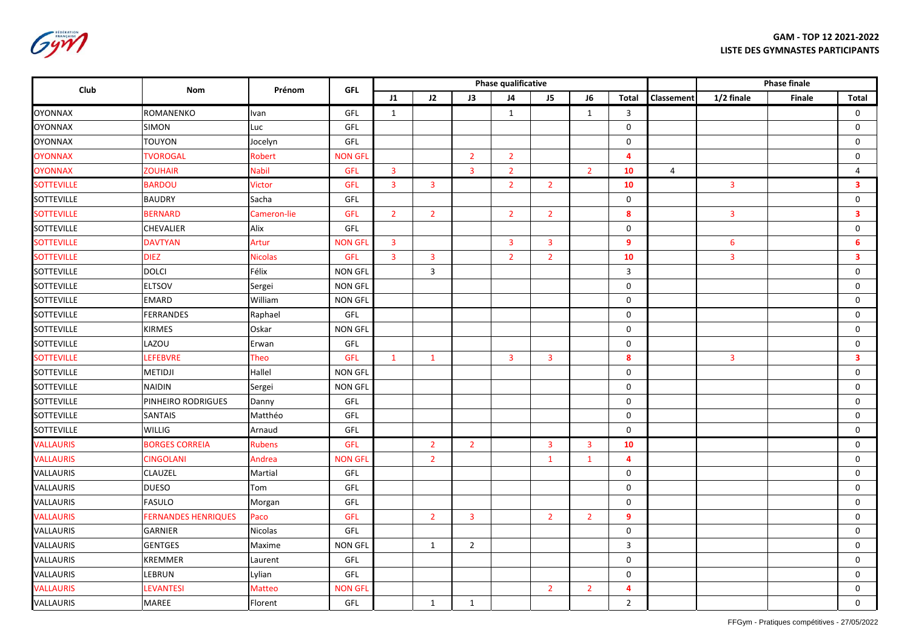Gym

| Club              | Nom                        | Prénom         | <b>GFL</b>     |                         |                         |                | Phase qualificative     |                |                |                         | <b>Phase finale</b> |                         |        |                         |
|-------------------|----------------------------|----------------|----------------|-------------------------|-------------------------|----------------|-------------------------|----------------|----------------|-------------------------|---------------------|-------------------------|--------|-------------------------|
|                   |                            |                |                | J1                      | J2                      | J3             | J <sub>4</sub>          | J <sub>5</sub> | J6             | <b>Total</b>            | Classement          | 1/2 finale              | Finale | <b>Total</b>            |
| <b>OYONNAX</b>    | ROMANENKO                  | Ivan           | GFL            | $\mathbf{1}$            |                         |                | $\mathbf{1}$            |                | $\mathbf{1}$   | 3                       |                     |                         |        | 0                       |
| <b>OYONNAX</b>    | <b>SIMON</b>               | Luc            | GFL            |                         |                         |                |                         |                |                | $\mathbf 0$             |                     |                         |        | $\mathbf 0$             |
| <b>OYONNAX</b>    | <b>TOUYON</b>              | Jocelyn        | GFL            |                         |                         |                |                         |                |                | $\mathbf 0$             |                     |                         |        | $\mathbf 0$             |
| <b>OYONNAX</b>    | <b>TVOROGAL</b>            | Robert         | <b>NON GFL</b> |                         |                         | $\overline{2}$ | $\overline{2}$          |                |                | $\overline{\mathbf{4}}$ |                     |                         |        | 0                       |
| <b>OYONNAX</b>    | <b>ZOUHAIR</b>             | Nabil          | GFL            | $\overline{3}$          |                         | $\overline{3}$ | $\overline{2}$          |                | $\overline{2}$ | 10                      | $\overline{4}$      |                         |        | $\overline{4}$          |
| <b>SOTTEVILLE</b> | <b>BARDOU</b>              | Victor         | GFL            | $\overline{\mathbf{3}}$ | $\overline{3}$          |                | $\overline{2}$          | $\overline{2}$ |                | 10                      |                     | $\mathbf{3}$            |        | $\overline{\mathbf{3}}$ |
| SOTTEVILLE        | <b>BAUDRY</b>              | Sacha          | GFL            |                         |                         |                |                         |                |                | $\mathbf 0$             |                     |                         |        | 0                       |
| <b>SOTTEVILLE</b> | <b>BERNARD</b>             | Cameron-lie    | <b>GFL</b>     | $\overline{2}$          | $\overline{2}$          |                | $\overline{2}$          | $\overline{2}$ |                | 8                       |                     | 3                       |        | 3                       |
| <b>SOTTEVILLE</b> | <b>CHEVALIER</b>           | Alix           | GFL            |                         |                         |                |                         |                |                | $\mathbf 0$             |                     |                         |        | $\mathsf 0$             |
| <b>SOTTEVILLE</b> | <b>DAVTYAN</b>             | Artur          | <b>NON GFI</b> | $\mathbf{3}$            |                         |                | $\overline{3}$          | $\overline{3}$ |                | 9                       |                     | 6                       |        | 6                       |
| <b>SOTTEVILLE</b> | <b>DIEZ</b>                | <b>Nicolas</b> | <b>GFL</b>     | $\overline{3}$          | $\overline{\mathbf{3}}$ |                | $\overline{2}$          | $\overline{2}$ |                | 10                      |                     | 3                       |        | $\overline{\mathbf{3}}$ |
| SOTTEVILLE        | <b>DOLCI</b>               | Félix          | <b>NON GFL</b> |                         | $\mathbf{3}$            |                |                         |                |                | $\mathbf{3}$            |                     |                         |        | $\mathsf 0$             |
| <b>SOTTEVILLE</b> | <b>ELTSOV</b>              | Sergei         | <b>NON GFL</b> |                         |                         |                |                         |                |                | $\mathbf 0$             |                     |                         |        | $\mathsf 0$             |
| SOTTEVILLE        | <b>EMARD</b>               | William        | <b>NON GFL</b> |                         |                         |                |                         |                |                | $\mathbf 0$             |                     |                         |        | 0                       |
| <b>SOTTEVILLE</b> | <b>FERRANDES</b>           | Raphael        | GFL            |                         |                         |                |                         |                |                | 0                       |                     |                         |        | 0                       |
| <b>SOTTEVILLE</b> | <b>KIRMES</b>              | Oskar          | <b>NON GFL</b> |                         |                         |                |                         |                |                | 0                       |                     |                         |        | $\mathsf 0$             |
| <b>SOTTEVILLE</b> | LAZOU                      | Erwan          | GFL            |                         |                         |                |                         |                |                | $\mathbf 0$             |                     |                         |        | $\mathsf 0$             |
| <b>SOTTEVILLE</b> | <b>LEFEBVRE</b>            | Theo           | GFL            | $\mathbf{1}$            | $\mathbf{1}$            |                | $\overline{\mathbf{3}}$ | $\mathbf{3}$   |                | 8                       |                     | $\overline{\mathbf{3}}$ |        | $\overline{\mathbf{3}}$ |
| <b>SOTTEVILLE</b> | <b>METIDJI</b>             | Hallel         | <b>NON GFL</b> |                         |                         |                |                         |                |                | $\mathsf 0$             |                     |                         |        | $\mathsf{O}\xspace$     |
| <b>SOTTEVILLE</b> | <b>NAIDIN</b>              | Sergei         | <b>NON GFL</b> |                         |                         |                |                         |                |                | $\mathsf 0$             |                     |                         |        | $\mathsf 0$             |
| <b>SOTTEVILLE</b> | PINHEIRO RODRIGUES         | Danny          | GFL            |                         |                         |                |                         |                |                | $\mathbf 0$             |                     |                         |        | 0                       |
| <b>SOTTEVILLE</b> | <b>SANTAIS</b>             | Matthéo        | GFL            |                         |                         |                |                         |                |                | 0                       |                     |                         |        | 0                       |
| <b>SOTTEVILLE</b> | <b>WILLIG</b>              | Arnaud         | GFL            |                         |                         |                |                         |                |                | $\mathbf 0$             |                     |                         |        | $\mathbf 0$             |
| <b>VALLAURIS</b>  | <b>BORGES CORREIA</b>      | <b>Rubens</b>  | GFL            |                         | $\overline{2}$          | $\overline{2}$ |                         | $\overline{3}$ | $\overline{3}$ | 10                      |                     |                         |        | $\mathbf 0$             |
| <b>VALLAURIS</b>  | <b>CINGOLANI</b>           | Andrea         | <b>NON GFI</b> |                         | $\overline{2}$          |                |                         | $\mathbf{1}$   | $\mathbf{1}$   | 4                       |                     |                         |        | $\mathbf 0$             |
| VALLAURIS         | CLAUZEL                    | Martial        | GFL            |                         |                         |                |                         |                |                | 0                       |                     |                         |        | $\mathbf 0$             |
| VALLAURIS         | <b>DUESO</b>               | Tom            | GFL            |                         |                         |                |                         |                |                | $\mathbf 0$             |                     |                         |        | $\mathsf{O}\xspace$     |
| VALLAURIS         | <b>FASULO</b>              | Morgan         | GFL            |                         |                         |                |                         |                |                | $\mathbf 0$             |                     |                         |        | $\mathbf 0$             |
| <b>VALLAURIS</b>  | <b>FERNANDES HENRIQUES</b> | Paco           | <b>GFL</b>     |                         | $\overline{2}$          | $\overline{3}$ |                         | $\overline{2}$ | $\overline{2}$ | 9                       |                     |                         |        | $\mathbf 0$             |
| VALLAURIS         | GARNIER                    | <b>Nicolas</b> | GFL            |                         |                         |                |                         |                |                | 0                       |                     |                         |        | $\mathbf 0$             |
| VALLAURIS         | <b>GENTGES</b>             | Maxime         | <b>NON GFL</b> |                         | 1                       | $\overline{2}$ |                         |                |                | $\mathbf{3}$            |                     |                         |        | $\mathbf 0$             |
| <b>VALLAURIS</b>  | <b>KREMMER</b>             | Laurent        | GFL            |                         |                         |                |                         |                |                | $\mathbf 0$             |                     |                         |        | $\mathbf 0$             |
| VALLAURIS         | LEBRUN                     | Lylian         | GFL            |                         |                         |                |                         |                |                | 0                       |                     |                         |        | $\mathbf 0$             |
| <b>VALLAURIS</b>  | <b>LEVANTESI</b>           | <b>Matteo</b>  | <b>NON GFI</b> |                         |                         |                |                         | $\overline{2}$ | $\overline{2}$ | 4                       |                     |                         |        | $\mathbf 0$             |
| VALLAURIS         | <b>MAREE</b>               | Florent        | GFL            |                         | 1                       | $\mathbf{1}$   |                         |                |                | $\overline{2}$          |                     |                         |        | 0                       |